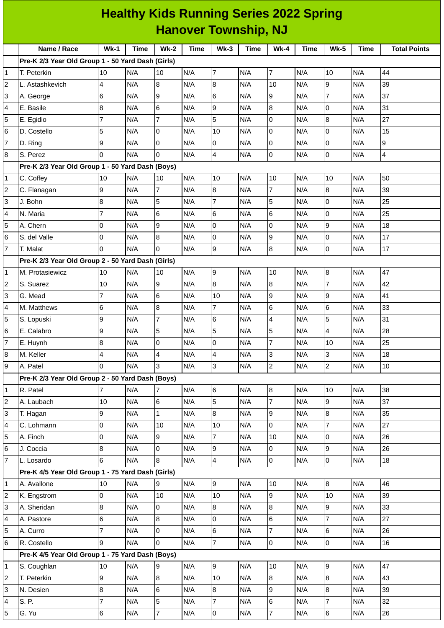|                         | <b>Healthy Kids Running Series 2022 Spring</b>    |                |            |                         |             |                     |                             |                     |            |                  |            |                     |
|-------------------------|---------------------------------------------------|----------------|------------|-------------------------|-------------|---------------------|-----------------------------|---------------------|------------|------------------|------------|---------------------|
|                         |                                                   |                |            |                         |             |                     | <b>Hanover Township, NJ</b> |                     |            |                  |            |                     |
|                         | Name / Race                                       | $Wk-1$         | Time       | $Wk-2$                  | <b>Time</b> | $Wk-3$              | <b>Time</b>                 | $Wk-4$              | Time       | <b>Wk-5</b>      | Time       | <b>Total Points</b> |
|                         | Pre-K 2/3 Year Old Group 1 - 50 Yard Dash (Girls) |                |            |                         |             |                     |                             |                     |            |                  |            |                     |
| 1                       | T. Peterkin                                       | 10             | N/A        | 10                      | N/A         | 7                   | N/A                         | $\overline{7}$      | N/A        | 10               | N/A        | 44                  |
| $\overline{\mathbf{c}}$ | L. Astashkevich                                   | 4              | N/A        | 8                       | N/A         | 8                   | N/A                         | 10                  | N/A        | 9                | N/A        | 39                  |
| 3                       | A. George                                         | 6              | N/A        | l9                      | N/A         | 6                   | N/A                         | 9                   | N/A        | $\overline{7}$   | N/A        | 37                  |
| 4                       | E. Basile                                         | 8              | N/A        | 6                       | N/A         | 9                   | N/A                         | 8                   | N/A        | 0                | N/A        | 31                  |
| 5                       | E. Egidio                                         | $\overline{7}$ | N/A        | $\overline{7}$          | N/A         | 5                   | N/A                         | $\Omega$            | N/A        | 8                | N/A        | 27                  |
| 6                       | D. Costello                                       | 5              | N/A        | l0                      | N/A         | 10                  | N/A                         | 0                   | N/A        | $\mathbf 0$      | N/A        | 15                  |
| 7                       | D. Ring                                           | 9              | N/A        | 0                       | N/A         | 0                   | N/A                         | 0                   | N/A        | 0                | N/A        | 9                   |
| 8                       | S. Perez                                          | $\Omega$       | N/A        | lo                      | N/A         | 4                   | N/A                         | $\overline{0}$      | N/A        | 0                | N/A        | $\overline{4}$      |
|                         | Pre-K 2/3 Year Old Group 1 - 50 Yard Dash (Boys)  |                |            |                         |             |                     |                             |                     |            |                  |            |                     |
| 1                       | C. Coffey                                         | 10             | N/A        | 10                      | N/A         | 10                  | N/A                         | 10                  | N/A        | 10               | N/A        | 50                  |
| 2                       | C. Flanagan                                       | 9              | N/A        | $\overline{7}$          | N/A         | 8                   | N/A                         | $\overline{7}$      | N/A        | 8                | N/A        | 39                  |
| 3                       | J. Bohn                                           | 8              | N/A        | 5                       | N/A         | $\overline{7}$      | N/A                         | 5                   | N/A        | 0                | N/A        | 25                  |
| 4                       | N. Maria                                          | $\overline{7}$ | N/A        | $6\phantom{.}6$         | N/A         | 6                   | N/A                         | 6                   | N/A        | $\mathbf 0$      | N/A        | 25                  |
| 5                       | A. Chern                                          | 0              | N/A        | 9                       | N/A         | 0                   | N/A                         | $\overline{0}$      | N/A        | 9                | N/A        | 18                  |
| $\,6$                   | S. del Valle                                      | 0              | N/A        | 8                       | N/A         | 0                   | N/A                         | 9                   | N/A        | 0                | N/A        | 17                  |
| $\overline{7}$          | T. Malat                                          | l0             | N/A        | lo                      | N/A         | 9                   | N/A                         | 8                   | N/A        | 0                | N/A        | 17                  |
|                         | Pre-K 2/3 Year Old Group 2 - 50 Yard Dash (Girls) |                |            |                         |             |                     |                             |                     |            |                  |            |                     |
| $\mathbf{1}$            | M. Protasiewicz                                   | 10             | N/A        | 10                      | N/A         | 9                   | N/A                         | 10                  | N/A        | 8                | N/A        | 47                  |
| 2                       | S. Suarez                                         | 10             | N/A        | l9                      | N/A         | $\bf{8}$            | N/A                         | $\boldsymbol{8}$    | N/A        | $\overline{7}$   | N/A        | 42                  |
| 3                       | G. Mead                                           | $\overline{7}$ | N/A        | 6                       | N/A         | 10                  | N/A                         | 9                   | N/A        | 9                | N/A        | 41                  |
| 4                       | M. Matthews                                       | 6              | N/A        | 8<br>$\overline{7}$     | N/A         | $\overline{7}$      | N/A                         | 6                   | N/A        | 6                | N/A        | 33                  |
| 5                       | S. Lopuski                                        | 9              | N/A        |                         | N/A         | 6                   | N/A                         | $\overline{4}$      | N/A        | 5                | N/A        | 31                  |
| 6<br>$\overline{7}$     | E. Calabro                                        | 9              | N/A<br>N/A | 5<br>l0                 | N/A         | 5                   | N/A<br>N/A                  | 5                   | N/A<br>N/A | 4<br>10          | N/A<br>N/A | 28<br>25            |
|                         | E. Huynh<br>M. Keller                             | $\bf{8}$<br>4  | N/A        | $\overline{\mathbf{4}}$ | N/A<br>N/A  | 0<br>4              | N/A                         | $\overline{7}$<br>3 | N/A        | 3                | N/A        | 18                  |
| 8<br>9                  | A. Patel                                          | 0              | N/A        | $\overline{3}$          | N/A         | 3                   | N/A                         | $\overline{c}$      | N/A        | $\overline{c}$   | N/A        | 10                  |
|                         | Pre-K 2/3 Year Old Group 2 - 50 Yard Dash (Boys)  |                |            |                         |             |                     |                             |                     |            |                  |            |                     |
| $\mathbf 1$             | R. Patel                                          | $\overline{7}$ | N/A        | $\overline{7}$          | N/A         | $\,6$               | N/A                         | $\overline{8}$      | N/A        | 10               | N/A        | 38                  |
| $\overline{\mathbf{c}}$ | A. Laubach                                        | 10             | N/A        | 6                       | N/A         | 5                   | N/A                         | $\overline{7}$      | N/A        | 9                | N/A        | 37                  |
| 3                       | T. Hagan                                          | 9              | N/A        | $\mathbf{1}$            | N/A         | 8                   | N/A                         | 9                   | N/A        | 8                | N/A        | 35                  |
| 4                       | C. Lohmann                                        | 0              | N/A        | 10                      | N/A         | $10\,$              | N/A                         | $\mathsf{O}$        | N/A        | $\overline{7}$   | N/A        | 27                  |
| 5                       | A. Finch                                          | 0              | N/A        | g                       | N/A         | $\overline{7}$      | N/A                         | 10                  | N/A        | 0                | N/A        | 26                  |
| 6                       | J. Coccia                                         | 8              | N/A        | l0                      | N/A         | 9                   | N/A                         | 0                   | N/A        | 9                | N/A        | 26                  |
| 7                       | L. Losardo                                        | 6              | N/A        | $\overline{8}$          | N/A         | 4                   | N/A                         | 0                   | N/A        | $\overline{0}$   | N/A        | 18                  |
|                         | Pre-K 4/5 Year Old Group 1 - 75 Yard Dash (Girls) |                |            |                         |             |                     |                             |                     |            |                  |            |                     |
| 1                       | A. Avallone                                       | 10             | N/A        | 9                       | N/A         | $\overline{9}$      | N/A                         | $10\,$              | N/A        | $\boldsymbol{8}$ | N/A        | 46                  |
| $\overline{c}$          | K. Engstrom                                       | 0              | N/A        | 10                      | N/A         | 10                  | N/A                         | 9                   | N/A        | $10\,$           | N/A        | 39                  |
| 3                       | A. Sheridan                                       | 8              | N/A        | l0                      | N/A         | 8                   | N/A                         | 8                   | N/A        | 9                | N/A        | 33                  |
| 4                       | A. Pastore                                        | 6              | N/A        | $\overline{8}$          | N/A         | 0                   | N/A                         | 6                   | N/A        | $\overline{7}$   | N/A        | 27                  |
| 5                       | A. Curro                                          | $\overline{7}$ | N/A        | lo                      | N/A         | 6                   | N/A                         | $\overline{7}$      | N/A        | 6                | N/A        | 26                  |
| 6                       | R. Costello                                       | 9              | N/A        | lo.                     | N/A         | $\overline{7}$      | N/A                         | 0                   | N/A        | 0                | N/A        | 16                  |
|                         | Pre-K 4/5 Year Old Group 1 - 75 Yard Dash (Boys)  |                |            |                         |             |                     |                             |                     |            |                  |            |                     |
| 1                       | S. Coughlan                                       | 10             | N/A        | 9                       | N/A         | 9                   | N/A                         | 10                  | N/A        | 9                | N/A        | 47                  |
| 2                       | T. Peterkin                                       | 9              | N/A        | $\overline{8}$          | N/A         | $10\,$              | N/A                         | 8                   | N/A        | 8                | N/A        | 43                  |
| 3                       | N. Desien                                         | $\, 8$         | N/A        | $6\phantom{.}$          | N/A         | 8                   | N/A                         | 9                   | N/A        | 8                | N/A        | 39                  |
| 4                       | S. P.                                             | $\overline{7}$ | N/A        | 5                       | N/A         | $\overline{7}$      | N/A                         | 6                   | N/A        | $\overline{7}$   | N/A        | 32                  |
| 5                       | G. Yu                                             | $\, 6$         | N/A        | $\overline{7}$          | N/A         | $\mathsf{O}\xspace$ | N/A                         | $\overline{7}$      | N/A        | 6                | N/A        | 26                  |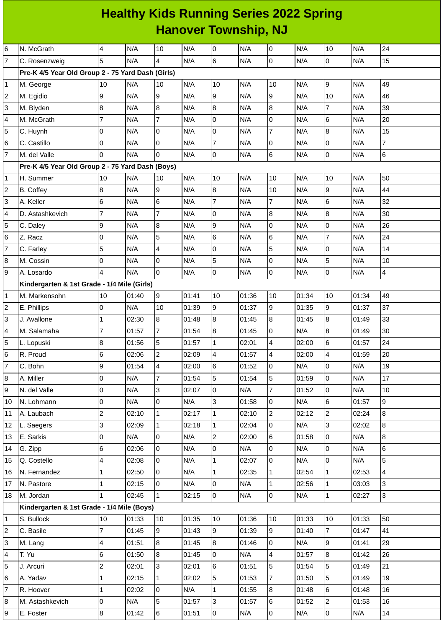## **Healthy Kids Running Series 2022 Spring Hanover Township, NJ**

| 6              | N. McGrath                                        | 4              | N/A   | 10              | N/A   | $\pmb{0}$           | N/A   | 0              | N/A   | 10               | N/A   | 24             |
|----------------|---------------------------------------------------|----------------|-------|-----------------|-------|---------------------|-------|----------------|-------|------------------|-------|----------------|
| $\overline{7}$ | C. Rosenzweig                                     | 5              | N/A   | $\overline{4}$  | N/A   | 6                   | N/A   | 0              | N/A   | lo               | N/A   | 15             |
|                | Pre-K 4/5 Year Old Group 2 - 75 Yard Dash (Girls) |                |       |                 |       |                     |       |                |       |                  |       |                |
| $\mathbf{1}$   | M. George                                         | 10             | N/A   | 10              | N/A   | 10                  | N/A   | 10             | N/A   | l9               | N/A   | 49             |
| $\overline{c}$ | M. Egidio                                         | 9              | N/A   | 9               | N/A   | 9                   | N/A   | 9              | N/A   | 10               | N/A   | 46             |
| 3              | M. Blyden                                         | 8              | N/A   | 8               | N/A   | 8                   | N/A   | 8              | N/A   | $\overline{7}$   | N/A   | 39             |
| 4              | M. McGrath                                        | $\overline{7}$ | N/A   | $\overline{7}$  | N/A   | 0                   | N/A   | 0              | N/A   | $6\phantom{.}6$  | N/A   | 20             |
| 5              | C. Huynh                                          | 0              | N/A   | $\overline{0}$  | N/A   | $\mathsf 0$         | N/A   | $\overline{7}$ | N/A   | $\overline{8}$   | N/A   | 15             |
| 6              | C. Castillo                                       | O              | N/A   | $\overline{0}$  | N/A   | $\overline{7}$      | N/A   | 0              | N/A   | lo               | N/A   | $\overline{7}$ |
| $\overline{7}$ | M. del Valle                                      | O              | N/A   | l0              | N/A   | 0                   | N/A   | 6              | N/A   | l0               | N/A   | 6              |
|                | Pre-K 4/5 Year Old Group 2 - 75 Yard Dash (Boys)  |                |       |                 |       |                     |       |                |       |                  |       |                |
| 1              | H. Summer                                         | 10             | N/A   | 10              | N/A   | 10                  | N/A   | 10             | N/A   | 10               | N/A   | 50             |
| $\overline{c}$ | B. Coffey                                         | 8              | N/A   | $\overline{9}$  | N/A   | 8                   | N/A   | 10             | N/A   | l9               | N/A   | 44             |
| 3              | A. Keller                                         | 6              | N/A   | $\,6$           | N/A   | $\overline{7}$      | N/A   | $\overline{7}$ | N/A   | $\,$ 6           | N/A   | 32             |
| 4              | D. Astashkevich                                   | $\overline{7}$ | N/A   | $\overline{7}$  | N/A   | 0                   | N/A   | 8              | N/A   | $\overline{8}$   | N/A   | 30             |
| 5              | C. Daley                                          | 9              | N/A   | 8               | N/A   | 9                   | N/A   | 0              | N/A   | 0                | N/A   | 26             |
| 6              | Z. Racz                                           | O              | N/A   | 5               | N/A   | 6                   | N/A   | 6              | N/A   | $\overline{7}$   | N/A   | 24             |
| $\overline{7}$ | C. Farley                                         | 5              | N/A   | $\overline{4}$  | N/A   | 0                   | N/A   | 5              | N/A   | O                | N/A   | 14             |
| 8              | M. Cossin                                         | $\overline{0}$ | N/A   | $\overline{0}$  | N/A   | 5                   | N/A   | 0              | N/A   | 5                | N/A   | 10             |
| 9              | A. Losardo                                        | 4              | N/A   | $\overline{0}$  | N/A   | 0                   | N/A   | 0              | N/A   | lo               | N/A   | 4              |
|                | Kindergarten & 1st Grade - 1/4 Mile (Girls)       |                |       |                 |       |                     |       |                |       |                  |       |                |
| 1              | M. Markensohn                                     | 10             | 01:40 | 9               | 01:41 | 10                  | 01:36 | 10             | 01:34 | 10               | 01:34 | 49             |
| 2              | E. Phillips                                       | $\overline{0}$ | N/A   | 10              | 01:39 | 9                   | 01:37 | 9              | 01:35 | l9               | 01:37 | 37             |
| 3              | J. Avallone                                       | $\mathbf 1$    | 02:30 | 8               | 01:48 | 8                   | 01:45 | 8              | 01:45 | $\overline{8}$   | 01:49 | 33             |
| 4              | M. Salamaha                                       | $\overline{7}$ | 01:57 | $\overline{7}$  | 01:54 | 8                   | 01:45 | 0              | N/A   | $\, 8$           | 01:49 | 30             |
| 5              | L. Lopuski                                        | $\overline{8}$ | 01:56 | 5               | 01:57 | $\mathbf 1$         | 02:01 | 4              | 02:00 | $6\phantom{.}6$  | 01:57 | 24             |
| 6              | R. Proud                                          | 6              | 02:06 | $\overline{c}$  | 02:09 | 4                   | 01:57 | $\overline{4}$ | 02:00 | 4                | 01:59 | 20             |
| $\overline{7}$ | C. Bohn                                           | $\overline{9}$ | 01:54 | $\overline{4}$  | 02:00 | 6                   | 01:52 | $\overline{0}$ | N/A   | I٥               | N/A   | 19             |
| 8              | A. Miller                                         | O              | N/A   | $\overline{7}$  | 01:54 | 5                   | 01:54 | 5              | 01:59 | 0                | N/A   | 17             |
| 9              | N. del Valle                                      | $\overline{0}$ | N/A   | $\mathsf{3}$    | 02:07 | $\pmb{0}$           | N/A   | $\overline{7}$ | 01:52 | 0                | N/A   | 10             |
| 10             | N. Lohmann                                        | $\overline{0}$ | N/A   | $\overline{0}$  | N/A   | 3                   | 01:58 | 0              | N/A   | $\,6$            | 01:57 | 9              |
| 11             | A. Laubach                                        | $\overline{c}$ | 02:10 | $\mathbf{1}$    | 02:17 | $\mathbf 1$         | 02:10 | $\overline{c}$ | 02:12 | $\overline{c}$   | 02:24 | 8              |
| 12             | L. Saegers                                        | 3              | 02:09 | $\mathbf{1}$    | 02:18 | $\mathbf 1$         | 02:04 | 0              | N/A   | 3                | 02:02 | 8              |
| 13             | E. Sarkis                                         | $\overline{0}$ | N/A   | $\overline{0}$  | N/A   | $\mathbf{2}$        | 02:00 | 6              | 01:58 | lo               | N/A   | 8              |
| 14             | G. Zipp                                           | 6              | 02:06 | $\overline{0}$  | N/A   | $\mathsf{O}\xspace$ | N/A   | 0              | N/A   | $\overline{0}$   | N/A   | 6              |
| 15             | Q. Costello                                       | 4              | 02:08 | $\overline{0}$  | N/A   | $\mathbf 1$         | 02:07 | $\mathsf{O}$   | N/A   | lo               | N/A   | 5              |
| 16             | N. Fernandez                                      | $\mathbf{1}$   | 02:50 | $\overline{0}$  | N/A   | $\mathbf{1}$        | 02:35 | $\mathbf 1$    | 02:54 | $\mathbf{1}$     | 02:53 | 4              |
| 17             | N. Pastore                                        | $\mathbf 1$    | 02:15 | $\overline{0}$  | N/A   | 0                   | N/A   | $\mathbf{1}$   | 02:56 | $\mathbf{1}$     | 03:03 | 3              |
| 18             | M. Jordan                                         | $\mathbf{1}$   | 02:45 | $\overline{1}$  | 02:15 | $\mathsf{O}\xspace$ | N/A   | 0              | N/A   | $\mathbf 1$      | 02:27 | 3              |
|                | Kindergarten & 1st Grade - 1/4 Mile (Boys)        |                |       |                 |       |                     |       |                |       |                  |       |                |
| 1              | S. Bullock                                        | 10             | 01:33 | 10              | 01:35 | 10                  | 01:36 | 10             | 01:33 | 10               | 01:33 | 50             |
| 2              | C. Basile                                         | $\overline{7}$ | 01:45 | $\overline{9}$  | 01:43 | 9                   | 01:39 | 9              | 01:40 | $\overline{7}$   | 01:47 | 41             |
| 3              | M. Lang                                           | 4              | 01:51 | 8               | 01:45 | 8                   | 01:46 | $\overline{0}$ | N/A   | $\boldsymbol{9}$ | 01:41 | 29             |
| 4              | T. Yu                                             | 6              | 01:50 | $\overline{8}$  | 01:45 | $\mathsf{O}$        | N/A   | 4              | 01:57 | $\, 8$           | 01:42 | 26             |
| 5              | J. Arcuri                                         | $\overline{c}$ | 02:01 | $\overline{3}$  | 02:01 | 6                   | 01:51 | 5              | 01:54 | 5                | 01:49 | 21             |
| 6              | A. Yadav                                          | $\mathbf 1$    | 02:15 | $\mathbf{1}$    | 02:02 | 5                   | 01:53 | $\overline{7}$ | 01:50 | 5                | 01:49 | 19             |
| 7              | R. Hoover                                         | $\mathbf{1}$   | 02:02 | $\overline{0}$  | N/A   | $\mathbf{1}$        | 01:55 | 8              | 01:48 | $\,$ 6           | 01:48 | 16             |
| 8              | M. Astashkevich                                   | $\overline{0}$ | N/A   | 5               | 01:57 | 3                   | 01:57 | 6              | 01:52 | $\mathbf{2}$     | 01:53 | 16             |
| 9              | E. Foster                                         | $\bf{8}$       | 01:42 | $6\overline{6}$ | 01:51 | 0                   | N/A   | 0              | N/A   | 0                | N/A   | 14             |
|                |                                                   |                |       |                 |       |                     |       |                |       |                  |       |                |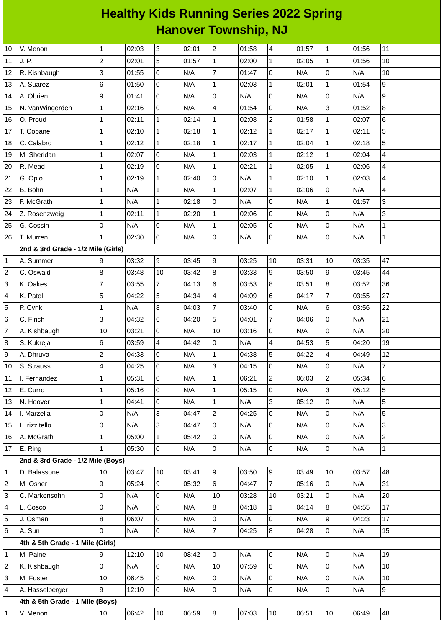## **Healthy Kids Running Series 2022 Spring Hanover Township, NJ**

| 10             | V. Menon                           | $\mathbf{1}$   | 02:03 | 3               | 02:01 | $\overline{c}$      | 01:58 | 4              | 01:57 | $\mathbf 1$         | 01:56 | 11             |
|----------------|------------------------------------|----------------|-------|-----------------|-------|---------------------|-------|----------------|-------|---------------------|-------|----------------|
| 11             | J. P.                              | $\overline{c}$ | 02:01 | 5               | 01:57 | $\mathbf{1}$        | 02:00 | $\mathbf 1$    | 02:05 | $\mathbf 1$         | 01:56 | 10             |
| 12             | R. Kishbaugh                       | 3              | 01:55 | 0               | N/A   | $\overline{7}$      | 01:47 | 0              | N/A   | 0                   | N/A   | 10             |
| 13             | A. Suarez                          | $\,$ 6         | 01:50 | O               | N/A   | $\mathbf 1$         | 02:03 | $\mathbf{1}$   | 02:01 | $\mathbf 1$         | 01:54 | 9              |
| 14             | A. Obrien                          | 9              | 01:41 | $\overline{0}$  | N/A   | 0                   | N/A   | 0              | N/A   | 0                   | N/A   | 9              |
| 15             | N. VanWingerden                    | $\mathbf{1}$   | 02:16 | $\overline{0}$  | N/A   | 4                   | 01:54 | 0              | N/A   | 3                   | 01:52 | 8              |
| 16             | O. Proud                           | $\mathbf 1$    | 02:11 | $\mathbf{1}$    | 02:14 | $\mathbf 1$         | 02:08 | $\mathbf{2}$   | 01:58 | $\mathbf 1$         | 02:07 | 6              |
| 17             | T. Cobane                          | $\mathbf 1$    | 02:10 | $\mathbf 1$     | 02:18 | $\mathbf{1}$        | 02:12 | $\mathbf 1$    | 02:17 | $\mathbf 1$         | 02:11 | 5              |
| 18             | C. Calabro                         | $\mathbf 1$    | 02:12 | $\mathbf{1}$    | 02:18 | $\mathbf{1}$        | 02:17 | $\mathbf 1$    | 02:04 | $\overline{1}$      | 02:18 | 5              |
| 19             | M. Sheridan                        | $\mathbf{1}$   | 02:07 | l0              | N/A   | $\mathbf{1}$        | 02:03 | $\mathbf 1$    | 02:12 | $\mathbf 1$         | 02:04 | 4              |
| 20             | R. Mead                            | $\mathbf 1$    | 02:19 | $\mathsf 0$     | N/A   | $\mathbf{1}$        | 02:21 | $\mathbf 1$    | 02:05 | $\mathbf 1$         | 02:06 | $\overline{4}$ |
| 21             | G. Opio                            | $\mathbf{1}$   | 02:19 | $\mathbf{1}$    | 02:40 | $\mathsf 0$         | N/A   | $\mathbf 1$    | 02:10 | $\mathbf{1}$        | 02:03 | 4              |
| 22             | B. Bohn                            | $\mathbf{1}$   | N/A   | $\mathbf 1$     | N/A   | $\mathbf{1}$        | 02:07 | $\mathbf 1$    | 02:06 | 0                   | N/A   | 4              |
| 23             | F. McGrath                         | $\mathbf{1}$   | N/A   | $\mathbf 1$     | 02:18 | $\mathsf 0$         | N/A   | 0              | N/A   | $\mathbf 1$         | 01:57 | 3              |
| 24             | Z. Rosenzweig                      | $\mathbf 1$    | 02:11 | $\mathbf 1$     | 02:20 | $\mathbf 1$         | 02:06 | $\overline{0}$ | N/A   | $\mathbf 0$         | N/A   | 3              |
| 25             | G. Cossin                          | 0              | N/A   | 0               | N/A   | $\mathbf{1}$        | 02:05 | $\overline{0}$ | N/A   | $\mathsf 0$         | N/A   | $\mathbf{1}$   |
| 26             | T. Murren                          | $\mathbf{1}$   | 02:30 | $\overline{0}$  | N/A   | 0                   | N/A   | 0              | N/A   | $\mathsf{O}\xspace$ | N/A   | $\mathbf 1$    |
|                | 2nd & 3rd Grade - 1/2 Mile (Girls) |                |       |                 |       |                     |       |                |       |                     |       |                |
| 1              | A. Summer                          | 9              | 03:32 | 9               | 03:45 | 9                   | 03:25 | 10             | 03:31 | 10                  | 03:35 | 47             |
| 2              | C. Oswald                          | $\bf{8}$       | 03:48 | 10              | 03:42 | $\bf 8$             | 03:33 | 9              | 03:50 | 9                   | 03:45 | 44             |
| 3              | K. Oakes                           | $\overline{7}$ | 03:55 | $\overline{7}$  | 04:13 | 6                   | 03:53 | 8              | 03:51 | 8                   | 03:52 | 36             |
| 4              | K. Patel                           | 5              | 04:22 | 5               | 04:34 | 4                   | 04:09 | 6              | 04:17 | $\overline{7}$      | 03:55 | 27             |
| 5              | P. Cynk                            | $\mathbf 1$    | N/A   | $\bf{8}$        | 04:03 | $\overline{7}$      | 03:40 | $\overline{0}$ | N/A   | 6                   | 03:56 | 22             |
| 6              | C. Finch                           | 3              | 04:32 | $6\phantom{.}6$ | 04:20 | 5                   | 04:01 | $\overline{7}$ | 04:06 | 0                   | N/A   | 21             |
| $\overline{7}$ | A. Kishbaugh                       | 10             | 03:21 | $\overline{0}$  | N/A   | 10                  | 03:16 | 0              | N/A   | $\mathsf{O}\xspace$ | N/A   | 20             |
| 8              | S. Kukreja                         | 6              | 03:59 | 4               | 04:42 | $\pmb{0}$           | N/A   | 4              | 04:53 | 5                   | 04:20 | 19             |
| 9              | A. Dhruva                          | $\overline{c}$ | 04:33 | $\mathsf 0$     | N/A   | $\mathbf{1}$        | 04:38 | 5              | 04:22 | 4                   | 04:49 | 12             |
| 10             | S. Strauss                         | 4              | 04:25 | $\overline{0}$  | N/A   | 3                   | 04:15 | 0              | N/A   | $\overline{0}$      | N/A   | $\overline{7}$ |
| 11             | I. Fernandez                       | $\mathbf 1$    | 05:31 | lo.             | N/A   | $\mathbf{1}$        | 06:21 | $\overline{2}$ | 06:03 | $\overline{c}$      | 05:34 | 6              |
| 12             | E. Curro                           | $\mathbf 1$    | 05:16 | 0               | N/A   | $\mathbf{1}$        | 05:15 | 0              | N/A   | 3                   | 05:12 | 5              |
| 13             | N. Hoover                          | $\mathbf 1$    | 04:41 | $\overline{0}$  | N/A   | $\mathbf{1}$        | N/A   | 3              | 05:12 | $\mathsf 0$         | N/A   | 5              |
| 14             | I. Marzella                        | $\mathsf 0$    | N/A   | 3               | 04:47 | $\overline{2}$      | 04:25 | 0              | N/A   | 0                   | N/A   | 5              |
| 15             | L. rizzitello                      | $\mathsf 0$    | N/A   | 3               | 04:47 | $\overline{0}$      | N/A   | $\overline{0}$ | N/A   | $\mathsf 0$         | N/A   | 3              |
| 16             | A. McGrath                         | $\mathbf{1}$   | 05:00 | $\mathbf 1$     | 05:42 | $\pmb{0}$           | N/A   | 0              | N/A   | 0                   | N/A   | $\overline{c}$ |
| 17             | E. Ring                            | $\mathbf{1}$   | 05:30 | $\overline{0}$  | N/A   | $\mathsf{O}\xspace$ | N/A   | 0              | N/A   | 0                   | N/A   | $\mathbf 1$    |
|                | 2nd & 3rd Grade - 1/2 Mile (Boys)  |                |       |                 |       |                     |       |                |       |                     |       |                |
| 1              | D. Balassone                       | 10             | 03:47 | 10              | 03:41 | 9                   | 03:50 | 9              | 03:49 | 10                  | 03:57 | 48             |
| 2              | M. Osher                           | 9              | 05:24 | 9               | 05:32 | $\,6$               | 04:47 | $\overline{7}$ | 05:16 | 0                   | N/A   | 31             |
| 3              | C. Markensohn                      | 0              | N/A   | l0              | N/A   | 10                  | 03:28 | 10             | 03:21 | 0                   | N/A   | 20             |
| 4              | L. Cosco                           | $\mathsf 0$    | N/A   | 0               | N/A   | 8                   | 04:18 | $\mathbf{1}$   | 04:14 | 8                   | 04:55 | 17             |
| 5              | J. Osman                           | 8              | 06:07 | $\mathsf{O}$    | N/A   | $\mathsf 0$         | N/A   | 0              | N/A   | 9                   | 04:23 | 17             |
| 6              | A. Sun                             | $\overline{0}$ | N/A   | $\overline{0}$  | N/A   | $\overline{7}$      | 04:25 | $\bf{8}$       | 04:28 | 0                   | N/A   | 15             |
|                | 4th & 5th Grade - 1 Mile (Girls)   |                |       |                 |       |                     |       |                |       |                     |       |                |
| 1              | M. Paine                           | 9              | 12:10 | 10              | 08:42 | $\mathsf 0$         | N/A   | 0              | N/A   | $\mathsf 0$         | N/A   | 19             |
| 2              | K. Kishbaugh                       | $\mathsf 0$    | N/A   | 0               | N/A   | 10                  | 07:59 | 0              | N/A   | 0                   | N/A   | 10             |
| 3              | M. Foster                          | 10             | 06:45 | 0               | N/A   | $\overline{0}$      | N/A   | 0              | N/A   | 0                   | N/A   | 10             |
| 4              | A. Hasselberger                    | 9              | 12:10 | $\overline{0}$  | N/A   | $\mathsf{O}\xspace$ | N/A   | 0              | N/A   | 0                   | N/A   | 9              |
|                | 4th & 5th Grade - 1 Mile (Boys)    |                |       |                 |       |                     |       |                |       |                     |       |                |
| 1              | V. Menon                           | 10             | 06:42 | 10              | 06:59 | $\bf{8}$            | 07:03 | 10             | 06:51 | 10                  | 06:49 | 48             |
|                |                                    |                |       |                 |       |                     |       |                |       |                     |       |                |